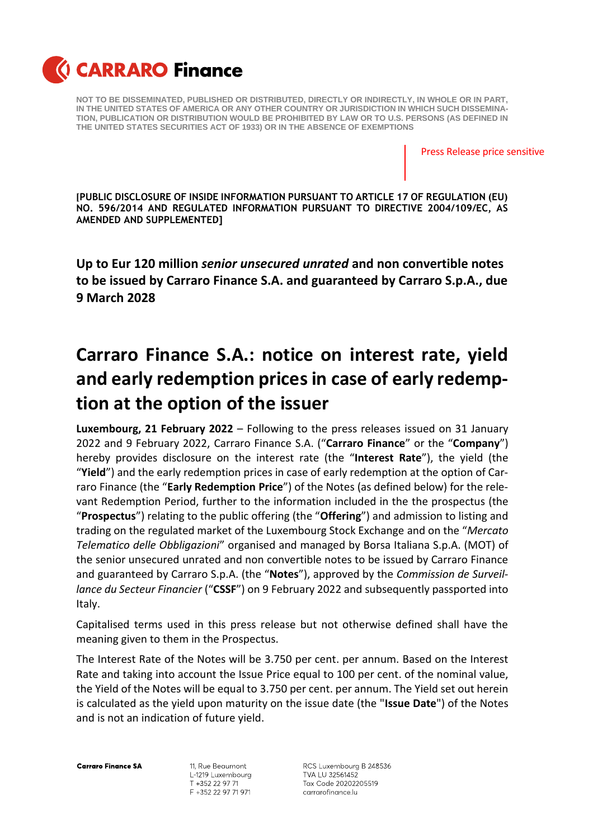

Press Release price sensitive

**[PUBLIC DISCLOSURE OF INSIDE INFORMATION PURSUANT TO ARTICLE 17 OF REGULATION (EU) NO. 596/2014 AND REGULATED INFORMATION PURSUANT TO DIRECTIVE 2004/109/EC, AS AMENDED AND SUPPLEMENTED]**

**Up to Eur 120 million** *senior unsecured unrated* **and non convertible notes to be issued by Carraro Finance S.A. and guaranteed by Carraro S.p.A., due 9 March 2028** 

## **Carraro Finance S.A.: notice on interest rate, yield and early redemption pricesin case of early redemption at the option of the issuer**

**Luxembourg, 21 February 2022** – Following to the press releases issued on 31 January 2022 and 9 February 2022, Carraro Finance S.A. ("**Carraro Finance**" or the "**Company**") hereby provides disclosure on the interest rate (the "**Interest Rate**"), the yield (the "**Yield**") and the early redemption prices in case of early redemption at the option of Carraro Finance (the "**Early Redemption Price**") of the Notes (as defined below) for the relevant Redemption Period, further to the information included in the the prospectus (the "**Prospectus**") relating to the public offering (the "**Offering**") and admission to listing and trading on the regulated market of the Luxembourg Stock Exchange and on the "*Mercato Telematico delle Obbligazioni*" organised and managed by Borsa Italiana S.p.A. (MOT) of the senior unsecured unrated and non convertible notes to be issued by Carraro Finance and guaranteed by Carraro S.p.A. (the "**Notes**"), approved by the *Commission de Surveillance du Secteur Financier* ("**CSSF**") on 9 February 2022 and subsequently passported into Italy.

Capitalised terms used in this press release but not otherwise defined shall have the meaning given to them in the Prospectus.

The Interest Rate of the Notes will be 3.750 per cent. per annum. Based on the Interest Rate and taking into account the Issue Price equal to 100 per cent. of the nominal value, the Yield of the Notes will be equal to 3.750 per cent. per annum. The Yield set out herein is calculated as the yield upon maturity on the issue date (the "**Issue Date**") of the Notes and is not an indication of future yield.

**Carraro Finance SA** 

11, Rue Beaumont L-1219 Luxembourg T +352 22 97 71 F +352 22 97 71 971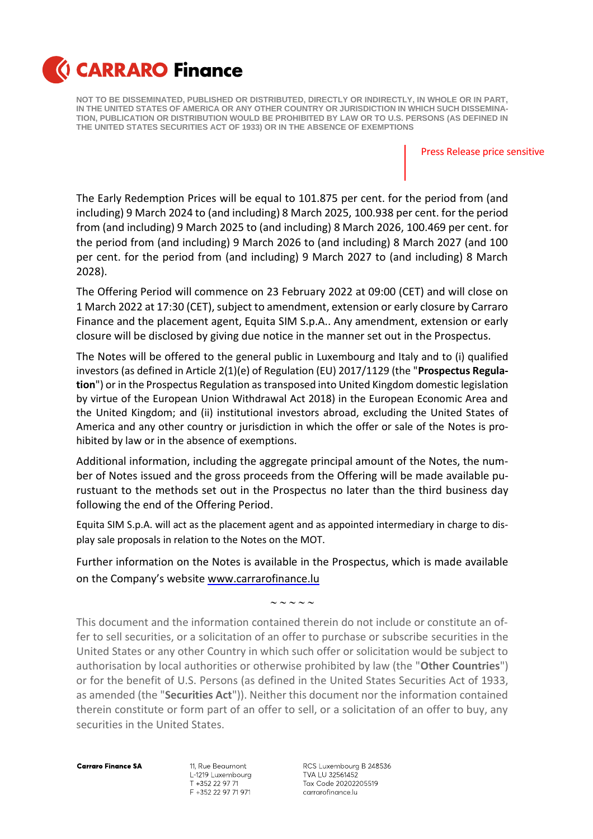

Press Release price sensitive

The Early Redemption Prices will be equal to 101.875 per cent. for the period from (and including) 9 March 2024 to (and including) 8 March 2025, 100.938 per cent. for the period from (and including) 9 March 2025 to (and including) 8 March 2026, 100.469 per cent. for the period from (and including) 9 March 2026 to (and including) 8 March 2027 (and 100 per cent. for the period from (and including) 9 March 2027 to (and including) 8 March 2028).

The Offering Period will commence on 23 February 2022 at 09:00 (CET) and will close on 1 March 2022 at 17:30 (CET), subject to amendment, extension or early closure by Carraro Finance and the placement agent, Equita SIM S.p.A.. Any amendment, extension or early closure will be disclosed by giving due notice in the manner set out in the Prospectus.

The Notes will be offered to the general public in Luxembourg and Italy and to (i) qualified investors (as defined in Article 2(1)(e) of Regulation (EU) 2017/1129 (the "**Prospectus Regulation**") or in the Prospectus Regulation as transposed into United Kingdom domestic legislation by virtue of the European Union Withdrawal Act 2018) in the European Economic Area and the United Kingdom; and (ii) institutional investors abroad, excluding the United States of America and any other country or jurisdiction in which the offer or sale of the Notes is prohibited by law or in the absence of exemptions.

Additional information, including the aggregate principal amount of the Notes, the number of Notes issued and the gross proceeds from the Offering will be made available purustuant to the methods set out in the Prospectus no later than the third business day following the end of the Offering Period.

Equita SIM S.p.A. will act as the placement agent and as appointed intermediary in charge to display sale proposals in relation to the Notes on the MOT.

Further information on the Notes is available in the Prospectus, which is made available on the Company's website [www.carrarofinance.lu](http://www.carrarofinance.lu/)

 $\sim$   $\sim$   $\sim$   $\sim$ 

This document and the information contained therein do not include or constitute an offer to sell securities, or a solicitation of an offer to purchase or subscribe securities in the United States or any other Country in which such offer or solicitation would be subject to authorisation by local authorities or otherwise prohibited by law (the "**Other Countries**") or for the benefit of U.S. Persons (as defined in the United States Securities Act of 1933, as amended (the "**Securities Act**")). Neither this document nor the information contained therein constitute or form part of an offer to sell, or a solicitation of an offer to buy, any securities in the United States.

**Carraro Finance SA** 

11, Rue Beaumont L-1219 Luxembourg T +352 22 97 71 F +352 22 97 71 971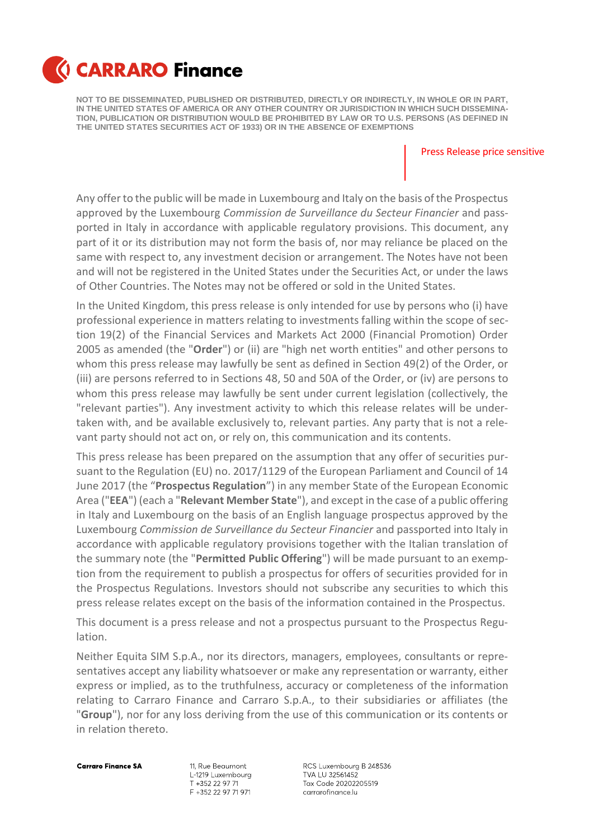

Press Release price sensitive

Any offer to the public will be made in Luxembourg and Italy on the basis of the Prospectus approved by the Luxembourg *Commission de Surveillance du Secteur Financier* and passported in Italy in accordance with applicable regulatory provisions. This document, any part of it or its distribution may not form the basis of, nor may reliance be placed on the same with respect to, any investment decision or arrangement. The Notes have not been and will not be registered in the United States under the Securities Act, or under the laws of Other Countries. The Notes may not be offered or sold in the United States.

In the United Kingdom, this press release is only intended for use by persons who (i) have professional experience in matters relating to investments falling within the scope of section 19(2) of the Financial Services and Markets Act 2000 (Financial Promotion) Order 2005 as amended (the "**Order**") or (ii) are "high net worth entities" and other persons to whom this press release may lawfully be sent as defined in Section 49(2) of the Order, or (iii) are persons referred to in Sections 48, 50 and 50A of the Order, or (iv) are persons to whom this press release may lawfully be sent under current legislation (collectively, the "relevant parties"). Any investment activity to which this release relates will be undertaken with, and be available exclusively to, relevant parties. Any party that is not a relevant party should not act on, or rely on, this communication and its contents.

This press release has been prepared on the assumption that any offer of securities pursuant to the Regulation (EU) no. 2017/1129 of the European Parliament and Council of 14 June 2017 (the "**Prospectus Regulation**") in any member State of the European Economic Area ("**EEA**") (each a "**Relevant Member State**"), and except in the case of a public offering in Italy and Luxembourg on the basis of an English language prospectus approved by the Luxembourg *Commission de Surveillance du Secteur Financier* and passported into Italy in accordance with applicable regulatory provisions together with the Italian translation of the summary note (the "**Permitted Public Offering**") will be made pursuant to an exemption from the requirement to publish a prospectus for offers of securities provided for in the Prospectus Regulations. Investors should not subscribe any securities to which this press release relates except on the basis of the information contained in the Prospectus.

This document is a press release and not a prospectus pursuant to the Prospectus Regulation.

Neither Equita SIM S.p.A., nor its directors, managers, employees, consultants or representatives accept any liability whatsoever or make any representation or warranty, either express or implied, as to the truthfulness, accuracy or completeness of the information relating to Carraro Finance and Carraro S.p.A., to their subsidiaries or affiliates (the "**Group**"), nor for any loss deriving from the use of this communication or its contents or in relation thereto.

**Carraro Finance SA** 

11, Rue Beaumont L-1219 Luxembourg T +352 22 97 71 F +352 22 97 71 971